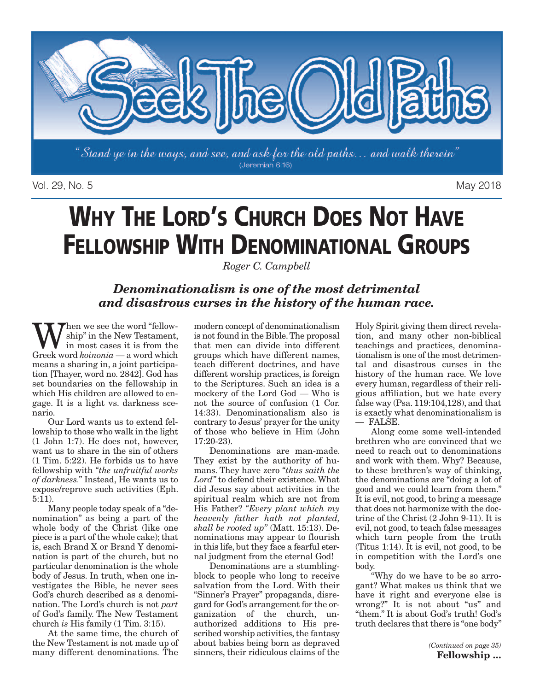

Vol. 29, No. 5 May 2018

# **WHY THE LORD'S CHURCH DOES NOT HAVE FELLOWSHIP WITH DENOMINATIONAL GROUPS**

*Roger C. Campbell*

### *Denominationalism is one of the most detrimental and disastrous curses in the history of the human race.*

hen we see the word "fellowship" in the New Testament, in most cases it is from the Greek word *koinonia* — a word which means a sharing in, a joint participation [Thayer, word no. 2842]. God has set boundaries on the fellowship in which His children are allowed to engage. It is a light vs. darkness scenario.

Our Lord wants us to extend fellowship to those who walk in the light (1 John 1:7). He does not, however, want us to share in the sin of others (1 Tim. 5:22). He forbids us to have fellowship with *"the unfruitful works of darkness."* Instead, He wants us to expose/reprove such activities (Eph. 5:11).

Many people today speak of a "denomination" as being a part of the whole body of the Christ (like one piece is a part of the whole cake); that is, each Brand X or Brand Y denomination is part of the church, but no particular denomination is the whole body of Jesus. In truth, when one investigates the Bible, he never sees God's church described as a denomination. The Lord's church is not *part* of God's family. The New Testament church *is* His family (1 Tim. 3:15).

At the same time, the church of the New Testament is not made up of many different denominations. The

modern concept of denominationalism is not found in the Bible.The proposal that men can divide into different groups which have different names, teach different doctrines, and have different worship practices, is foreign to the Scriptures. Such an idea is a mockery of the Lord God — Who is not the source of confusion (1 Cor. 14:33). Denominationalism also is contrary to Jesus' prayer for the unity of those who believe in Him (John 17:20-23).

Denominations are man-made. They exist by the authority of humans. They have zero *"thus saith the Lord"* to defend their existence. What did Jesus say about activities in the spiritual realm which are not from His Father? *"Every plant which my heavenly father hath not planted, shall be rooted up"* (Matt. 15:13). Denominations may appear to flourish in this life, but they face a fearful eternal judgment from the eternal God!

Denominations are a stumblingblock to people who long to receive salvation from the Lord. With their "Sinner's Prayer" propaganda, disregard for God's arrangement for the organization of the church, unauthorized additions to His prescribed worship activities, the fantasy about babies being born as depraved sinners, their ridiculous claims of the

Holy Spirit giving them direct revelation, and many other non-biblical teachings and practices, denominationalism is one of the most detrimental and disastrous curses in the history of the human race. We love every human, regardless of their religious affiliation, but we hate every false way (Psa. 119:104,128), and that is exactly what denominationalism is — FALSE.

Along come some well-intended brethren who are convinced that we need to reach out to denominations and work with them. Why? Because, to these brethren's way of thinking, the denominations are "doing a lot of good and we could learn from them." It is evil, not good, to bring a message that does not harmonize with the doctrine of the Christ (2 John 9-11). It is evil, not good, to teach false messages which turn people from the truth (Titus 1:14). It is evil, not good, to be in competition with the Lord's one body.

"Why do we have to be so arrogant? What makes us think that we have it right and everyone else is wrong?" It is not about "us" and "them." It is about God's truth! God's truth declares that there is "one body"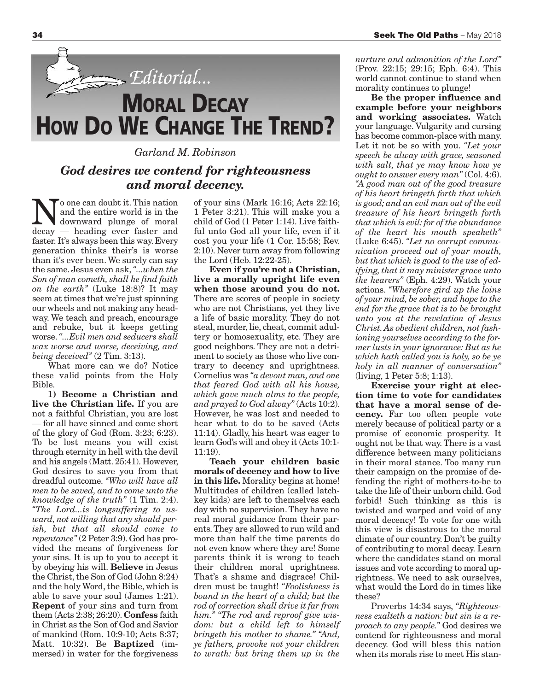

#### *Garland M. Robinson*

### *God desires we contend for righteousness and moral decency.*

No one can doubt it. This nation<br>and the entire world is in the<br>docay — heading ever fester and and the entire world is in the decay — heading ever faster and faster. It's always been this way. Every generation thinks their's is worse than it's ever been. We surely can say the same. Jesus even ask,*"...when the Son of man cometh, shall he find faith on the earth"* (Luke 18:8)? It may seem at times that we're just spinning our wheels and not making any headway. We teach and preach, encourage and rebuke, but it keeps getting worse.*"...Evil men and seducers shall wax worse and worse, deceiving, and being deceived"* (2 Tim. 3:13).

What more can we do? Notice these valid points from the Holy Bible.

**1) Become a Christian and live the Christian life.** If you are not a faithful Christian, you are lost — for all have sinned and come short of the glory of God (Rom. 3:23; 6:23). To be lost means you will exist through eternity in hell with the devil and his angels (Matt. 25:41). However, God desires to save you from that dreadful outcome. *"Who will have all men to be saved, and to come unto the knowledge of the truth"* (1 Tim. 2:4). *"The Lord...is longsuffering to usward, not willing that any should perish, but that all should come to repentance"* (2 Peter 3:9). God has provided the means of forgiveness for your sins. It is up to you to accept it by obeying his will. **Believe** in Jesus the Christ, the Son of God (John  $8:24$ ) and the holy Word, the Bible, which is able to save your soul (James 1:21). **Repent** of your sins and turn from them (Acts 2:38; 26:20). **Confess** faith in Christ as the Son of God and Savior of mankind (Rom. 10:9-10; Acts 8:37; Matt. 10:32). Be **Baptized** (immersed) in water for the forgiveness

of your sins (Mark 16:16; Acts 22:16; 1 Peter 3:21). This will make you a child of God (1 Peter 1:14). Live faithful unto God all your life, even if it cost you your life (1 Cor. 15:58; Rev. 2:10). Never turn away from following the Lord (Heb. 12:22-25).

**Even if you're not a Christian, live a morally upright life even when those around you do not.** There are scores of people in society who are not Christians, yet they live a life of basic morality. They do not steal, murder, lie, cheat, commit adultery or homosexuality, etc. They are good neighbors. They are not a detriment to society as those who live contrary to decency and uprightness. Cornelius was *"a devout man, and one that feared God with all his house, which gave much alms to the people, and prayed to God alway"* (Acts 10:2). However, he was lost and needed to hear what to do to be saved (Acts 11:14). Gladly, his heart was eager to learn God's will and obey it (Acts 10:1- 11:19).

**Teach your children basic morals of decency and how to live in this life.** Morality begins at home! Multitudes of children (called latchkey kids) are left to themselves each day with no supervision.They have no real moral guidance from their parents.They are allowed to run wild and more than half the time parents do not even know where they are! Some parents think it is wrong to teach their children moral uprightness. That's a shame and disgrace! Children must be taught! *"Foolishness is bound in the heart of a child; but the rod of correction shall drive it far from him." "The rod and reproof give wisdom: but a child left to himself bringeth his mother to shame." "And, ye fathers, provoke not your children to wrath: but bring them up in the*

*nurture and admonition of the Lord"* (Prov. 22:15; 29:15; Eph. 6:4). This world cannot continue to stand when morality continues to plunge!

**Be the proper influence and example before your neighbors and working associates.** Watch your language. Vulgarity and cursing has become common-place with many. Let it not be so with you. *"Let your speech be alway with grace, seasoned with salt, that ye may know how ye ought to answer every man"* (Col. 4:6). *"A good man out of the good treasure of his heart bringeth forth that which is good; and an evil man out of the evil treasure of his heart bringeth forth that which is evil: for of the abundance of the heart his mouth speaketh"* (Luke 6:45). *"Let no corrupt communication proceed out of your mouth, but that which is good to the use of edifying, that it may minister grace unto the hearers"* (Eph. 4:29). Watch your actions. *"Wherefore gird up the loins of your mind, be sober, and hope to the end for the grace that is to be brought unto you at the revelation of Jesus Christ. As obedient children, not fashioning yourselves according to the former lusts in your ignorance: But as he which hath called you is holy, so be ye holy in all manner of conversation"* (living, 1 Peter 5:8; 1:13).

**Exercise your right at election time to vote for candidates that have a moral sense of decency.** Far too often people vote merely because of political party or a promise of economic prosperity. It ought not be that way.There is a vast difference between many politicians in their moral stance. Too many run their campaign on the promise of defending the right of mothers-to-be to take the life of their unborn child. God forbid! Such thinking as this is twisted and warped and void of any moral decency! To vote for one with this view is disastrous to the moral climate of our country. Don't be guilty of contributing to moral decay. Learn where the candidates stand on moral issues and vote according to moral uprightness. We need to ask ourselves, what would the Lord do in times like these?

Proverbs 14:34 says, *"Righteousness exalteth a nation: but sin is a reproach to any people."* God desires we contend for righteousness and moral decency. God will bless this nation when its morals rise to meet His stan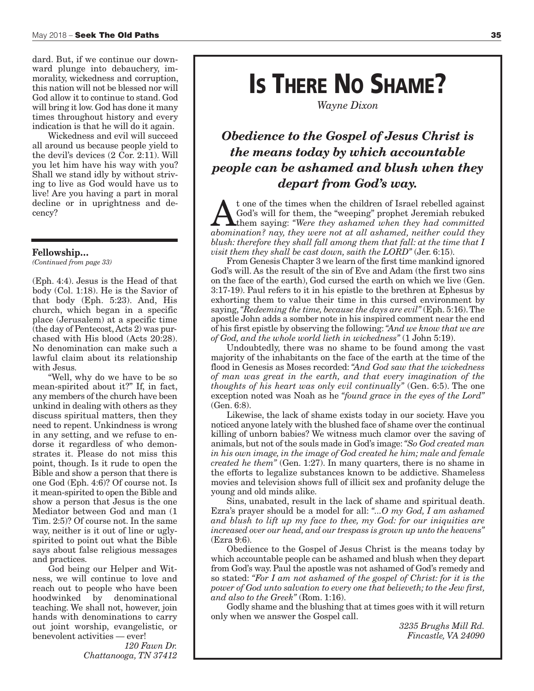dard. But, if we continue our downward plunge into debauchery, immorality, wickedness and corruption, this nation will not be blessed nor will God allow it to continue to stand. God will bring it low. God has done it many times throughout history and every indication is that he will do it again.

Wickedness and evil will succeed all around us because people yield to the devil's devices (2 Cor. 2:11). Will you let him have his way with you? Shall we stand idly by without striving to live as God would have us to live! Are you having a part in moral decline or in uprightness and decency?

#### **Fellowship…**

*(Continued from page 33)*

(Eph. 4:4). Jesus is the Head of that body (Col. 1:18). He is the Savior of that body (Eph. 5:23). And, His church, which began in a specific place (Jerusalem) at a specific time (the day of Pentecost,Acts 2) was purchased with His blood (Acts 20:28). No denomination can make such a lawful claim about its relationship with Jesus.

"Well, why do we have to be so mean-spirited about it?" If, in fact, any members of the church have been unkind in dealing with others as they discuss spiritual matters, then they need to repent. Unkindness is wrong in any setting, and we refuse to endorse it regardless of who demonstrates it. Please do not miss this point, though. Is it rude to open the Bible and show a person that there is one God (Eph. 4:6)? Of course not. Is it mean-spirited to open the Bible and show a person that Jesus is the one Mediator between God and man (1 Tim. 2:5)? Of course not. In the same way, neither is it out of line or uglyspirited to point out what the Bible says about false religious messages and practices.

God being our Helper and Witness, we will continue to love and reach out to people who have been hoodwinked by denominational teaching. We shall not, however, join hands with denominations to carry out joint worship, evangelistic, or benevolent activities — ever!

*120 Fawn Dr. Chattanooga, TN 37412*

## **IS THERE NO SHAME?**

*Wayne Dixon*

### *Obedience to the Gospel of Jesus Christ is the means today by which accountable people can be ashamed and blush when they depart from God's way.*

**A** t one of the times when the children of Israel rebelled against God's will for them, the "weeping" prophet Jeremiah rebuked them saying: "Were *they ashamed when they had committed* abomination? now *they were not at a* God's will for them, the "weeping" prophet Jeremiah rebuked *abomination? nay, they were not at all ashamed, neither could they blush: therefore they shall fall among them that fall: at the time that I visit them they shall be cast down, saith the LORD"* (Jer. 6:15).

From Genesis Chapter 3 we learn of the first time mankind ignored God's will. As the result of the sin of Eve and Adam (the first two sins on the face of the earth), God cursed the earth on which we live (Gen. 3:17-19). Paul refers to it in his epistle to the brethren at Ephesus by exhorting them to value their time in this cursed environment by saying,*"Redeeming the time, because the days are evil"* (Eph. 5:16).The apostle John adds a somber note in his inspired comment near the end of his first epistle by observing the following:*"And we know that we are of God, and the whole world lieth in wickedness"* (1 John 5:19).

Undoubtedly, there was no shame to be found among the vast majority of the inhabitants on the face of the earth at the time of the flood in Genesis as Moses recorded: *"And God saw that the wickedness of man was great in the earth, and that every imagination of the thoughts of his heart was only evil continually"* (Gen. 6:5). The one exception noted was Noah as he *"found grace in the eyes of the Lord"* (Gen. 6:8).

Likewise, the lack of shame exists today in our society. Have you noticed anyone lately with the blushed face of shame over the continual killing of unborn babies? We witness much clamor over the saving of animals, but not of the souls made in God's image:*"So God created man in his own image, in the image of God created he him; male and female created he them"* (Gen. 1:27). In many quarters, there is no shame in the efforts to legalize substances known to be addictive. Shameless movies and television shows full of illicit sex and profanity deluge the young and old minds alike.

Sins, unabated, result in the lack of shame and spiritual death. Ezra's prayer should be a model for all: *"...O my God, I am ashamed and blush to lift up my face to thee, my God: for our iniquities are increased over our head, and our trespass is grown up unto the heavens"* (Ezra 9:6).

Obedience to the Gospel of Jesus Christ is the means today by which accountable people can be ashamed and blush when they depart from God's way. Paul the apostle was not ashamed of God's remedy and so stated: *"For I am not ashamed of the gospel of Christ: for it is the power of God unto salvation to every one that believeth; to the Jew first, and also to the Greek"* (Rom. 1:16).

Godly shame and the blushing that at times goes with it will return only when we answer the Gospel call.

> *3235 Brughs Mill Rd. Fincastle, VA 24090*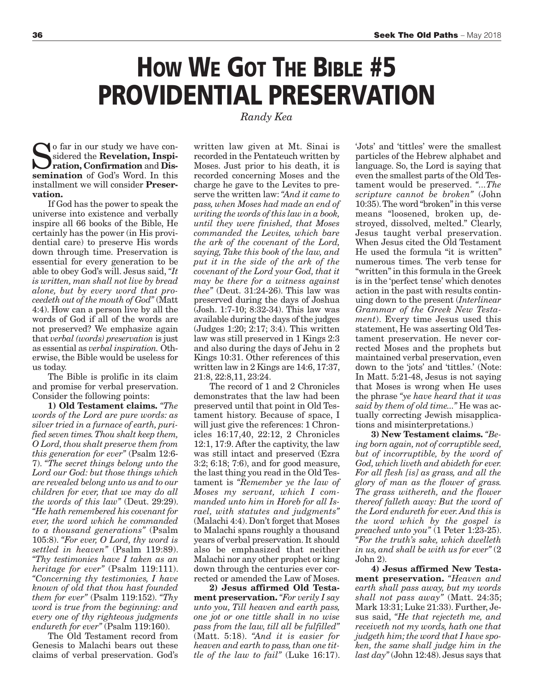## **HOW WE GOT THE BIBLE #5 PROVIDENTIAL PRESERVATION**

*Randy Kea*

o far in our study we have considered the **Revelation, Inspiration, Confirmation** and **Dissemination** of God's Word. In this installment we will consider **Preservation.**

If God has the power to speak the universe into existence and verbally inspire all 66 books of the Bible, He certainly has the power (in His providential care) to preserve His words down through time. Preservation is essential for every generation to be able to obey God's will. Jesus said, *"It is written, man shall not live by bread alone, but by every word that proceedeth out of the mouth of God"* (Matt 4:4). How can a person live by all the words of God if all of the words are not preserved? We emphasize again that *verbal (words) preservation* is just as essential as *verbal inspiration.* Otherwise, the Bible would be useless for us today.

The Bible is prolific in its claim and promise for verbal preservation. Consider the following points:

**1) Old Testament claims.** *"The words of the Lord are pure words: as silver tried in a furnace of earth, purified seven times.Thou shalt keep them, O Lord,thou shalt preserve them from this generation for ever"* (Psalm 12:6- 7). *"The secret things belong unto the Lord our God: but those things which are revealed belong unto us and to our children for ever, that we may do all the words of this law"* (Deut. 29:29). *"He hath remembered his covenant for ever, the word which he commanded to a thousand generations"* (Psalm 105:8). *"For ever, O Lord, thy word is settled in heaven"* (Psalm 119:89). *"Thy testimonies have I taken as an heritage for ever"* (Psalm 119:111). *"Concerning thy testimonies, I have known of old that thou hast founded them for ever"* (Psalm 119:152). *"Thy word is true from the beginning: and every one of thy righteous judgments endureth for ever"* (Psalm 119:160).

The Old Testament record from Genesis to Malachi bears out these claims of verbal preservation. God's

written law given at Mt. Sinai is recorded in the Pentateuch written by Moses. Just prior to his death, it is recorded concerning Moses and the charge he gave to the Levites to preserve the written law:*"And it came to pass, when Moses had made an end of writing the words of this law in a book, until they were finished, that Moses commanded the Levites, which bare the ark of the covenant of the Lord, saying, Take this book of the law, and put it in the side of the ark of the covenant of the Lord your God, that it may be there for a witness against thee"* (Deut. 31:24-26). This law was preserved during the days of Joshua (Josh. 1:7-10; 8:32-34). This law was available during the days of the judges (Judges 1:20; 2:17; 3:4). This written law was still preserved in 1 Kings 2:3 and also during the days of Jehu in 2 Kings 10:31. Other references of this written law in 2 Kings are 14:6, 17:37, 21:8, 22:8,11, 23:24.

The record of 1 and 2 Chronicles demonstrates that the law had been preserved until that point in Old Testament history. Because of space, I will just give the references: 1 Chronicles 16:17,40, 22:12, 2 Chronicles 12:1, 17:9. After the captivity, the law was still intact and preserved (Ezra 3:2; 6:18; 7:6), and for good measure, the last thing you read in the Old Testament is *"Remember ye the law of Moses my servant, which I commanded unto him in Horeb for all Israel, with statutes and judgments"* (Malachi 4:4). Don't forget that Moses to Malachi spans roughly a thousand years of verbal preservation. It should also be emphasized that neither Malachi nor any other prophet or king down through the centuries ever corrected or amended the Law of Moses.

**2) Jesus affirmed Old Testament preservation.** *"For verily I say unto you, Till heaven and earth pass, one jot or one tittle shall in no wise pass from the law, till all be fulfilled"* (Matt. 5:18). *"And it is easier for heaven and earth to pass,than one tittle of the law to fail"* (Luke 16:17).

'Jots' and 'tittles' were the smallest particles of the Hebrew alphabet and language. So, the Lord is saying that even the smallest parts of the OldTestament would be preserved. *"...The scripture cannot be broken"* (John 10:35).The word "broken"in this verse means "loosened, broken up, destroyed, dissolved, melted." Clearly, Jesus taught verbal preservation. When Jesus cited the Old Testament He used the formula "it is written" numerous times. The verb tense for "written"in this formula in the Greek is in the 'perfect tense' which denotes action in the past with results continuing down to the present (*Interlinear Grammar of the Greek New Testament*). Every time Jesus used this statement, He was asserting Old Testament preservation. He never corrected Moses and the prophets but maintained verbal preservation, even down to the 'jots' and 'tittles.' (Note: In Matt. 5:21-48, Jesus is not saying that Moses is wrong when He uses the phrase *"ye have heard that it was said by them of old time..."* He was actually correcting Jewish misapplications and misinterpretations.)

**3) New Testament claims.** *"Being born again, not of corruptible seed, but of incorruptible, by the word of God, which liveth and abideth for ever. For all flesh [is] as grass, and all the glory of man as the flower of grass. The grass withereth, and the flower thereof falleth away: But the word of the Lord endureth for ever. And this is the word which by the gospel is preached unto you"* (1 Peter 1:23-25). *"For the truth's sake, which dwelleth in us, and shall be with us for ever"* (2 John 2).

**4) Jesus affirmed New Testament preservation.** *"Heaven and earth shall pass away, but my words shall not pass away"* (Matt. 24:35; Mark 13:31; Luke 21:33). Further, Jesus said, *"He that rejecteth me, and receiveth not my words, hath one that judgeth him;the word that I have spoken, the same shall judge him in the last day"* (John 12:48). Jesus says that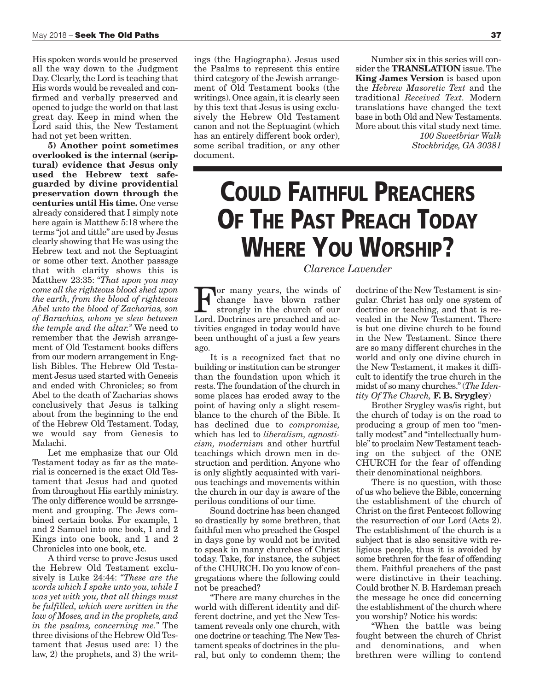His spoken words would be preserved all the way down to the Judgment Day. Clearly, the Lord is teaching that His words would be revealed and confirmed and verbally preserved and opened to judge the world on that last great day. Keep in mind when the Lord said this, the New Testament had not yet been written.

**5) Another point sometimes overlooked is the internal (scriptural) evidence that Jesus only used the Hebrew text safeguarded by divine providential preservation down through the centuries until His time.** One verse already considered that I simply note here again is Matthew 5:18 where the terms "jot and tittle" are used by Jesus clearly showing that He was using the Hebrew text and not the Septuagint or some other text. Another passage that with clarity shows this is Matthew 23:35: *"That upon you may come all the righteous blood shed upon the earth, from the blood of righteous Abel unto the blood of Zacharias, son of Barachias, whom ye slew between the temple and the altar."* We need to remember that the Jewish arrangement of Old Testament books differs from our modern arrangement in English Bibles. The Hebrew Old Testament Jesus used started with Genesis and ended with Chronicles; so from Abel to the death of Zacharias shows conclusively that Jesus is talking about from the beginning to the end of the Hebrew Old Testament. Today, we would say from Genesis to Malachi.

Let me emphasize that our Old Testament today as far as the material is concerned is the exact Old Testament that Jesus had and quoted from throughout His earthly ministry. The only difference would be arrangement and grouping. The Jews combined certain books. For example, 1 and 2 Samuel into one book, 1 and 2 Kings into one book, and 1 and 2 Chronicles into one book, etc.

A third verse to prove Jesus used the Hebrew Old Testament exclusively is Luke 24:44: *"These are the words which I spake unto you, while I was yet with you, that all things must be fulfilled, which were written in the law of Moses, and in the prophets, and in the psalms, concerning me."* The three divisions of the Hebrew Old Testament that Jesus used are: 1) the law, 2) the prophets, and 3) the writings (the Hagiographa). Jesus used the Psalms to represent this entire third category of the Jewish arrangement of Old Testament books (the writings). Once again, it is clearly seen by this text that Jesus is using exclusively the Hebrew Old Testament canon and not the Septuagint (which has an entirely different book order), some scribal tradition, or any other document.

Number six in this series will consider the **TRANSLATION** issue.The **King James Version** is based upon the *Hebrew Masoretic Text* and the traditional *Received Text.* Modern translations have changed the text base in both Old and New Testaments. More about this vital study next time. *100 Sweetbriar Walk*

*Stockbridge, GA 30381*

## **COULD FAITHFUL PREACHERS OF THE PAST PREACH TODAY WHERE YOU WORSHIP?**

#### *Clarence Lavender*

or many years, the winds of change have blown rather strongly in the church of our Lord. Doctrines are preached and activities engaged in today would have been unthought of a just a few years ago.

It is a recognized fact that no building or institution can be stronger than the foundation upon which it rests.The foundation of the church in some places has eroded away to the point of having only a slight resemblance to the church of the Bible. It has declined due to *compromise,* which has led to *liberalism, agnosticism, modernism* and other hurtful teachings which drown men in destruction and perdition. Anyone who is only slightly acquainted with various teachings and movements within the church in our day is aware of the perilous conditions of our time.

Sound doctrine has been changed so drastically by some brethren, that faithful men who preached the Gospel in days gone by would not be invited to speak in many churches of Christ today. Take, for instance, the subject of the CHURCH. Do you know of congregations where the following could not be preached?

"There are many churches in the world with different identity and different doctrine, and yet the New Testament reveals only one church, with one doctrine or teaching.The New Testament speaks of doctrines in the plural, but only to condemn them; the

doctrine of the New Testament is singular. Christ has only one system of doctrine or teaching, and that is revealed in the New Testament. There is but one divine church to be found in the New Testament. Since there are so many different churches in the world and only one divine church in the New Testament, it makes it difficult to identify the true church in the midst of so many churches."(*The Identity Of The Church,* **F. B. Srygley**)

Brother Srygley was/is right, but the church of today is on the road to producing a group of men too "mentally modest" and "intellectually humble"to proclaim New Testament teaching on the subject of the ONE CHURCH for the fear of offending their denominational neighbors.

There is no question, with those of us who believe the Bible, concerning the establishment of the church of Christ on the first Pentecost following the resurrection of our Lord (Acts 2). The establishment of the church is a subject that is also sensitive with religious people, thus it is avoided by some brethren for the fear of offending them. Faithful preachers of the past were distinctive in their teaching. Could brother N. B. Hardeman preach the message he once did concerning the establishment of the church where you worship? Notice his words:

"When the battle was being fought between the church of Christ and denominations, and when brethren were willing to contend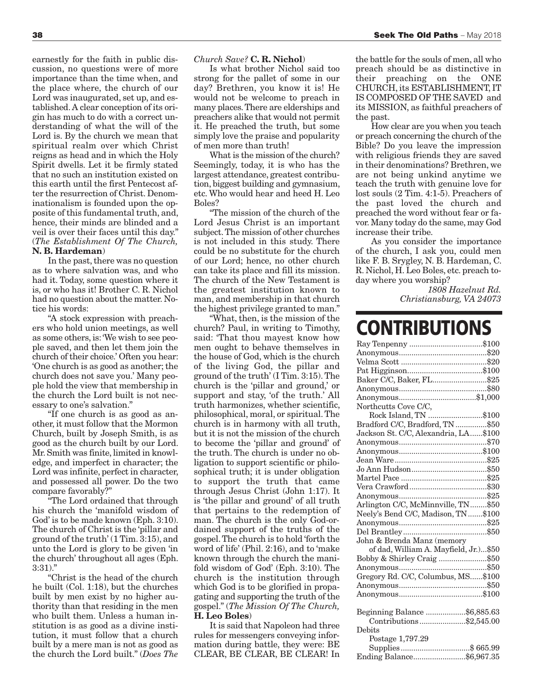earnestly for the faith in public discussion, no questions were of more importance than the time when, and the place where, the church of our Lord was inaugurated, set up, and established.A clear conception of its origin has much to do with a correct understanding of what the will of the Lord is. By the church we mean that spiritual realm over which Christ reigns as head and in which the Holy Spirit dwells. Let it be firmly stated that no such an institution existed on this earth until the first Pentecost after the resurrection of Christ. Denominationalism is founded upon the opposite of this fundamental truth, and, hence, their minds are blinded and a veil is over their faces until this day." (*The Establishment Of The Church,* **N. B. Hardeman**)

In the past, there was no question as to where salvation was, and who had it. Today, some question where it is, or who has it! Brother C. R. Nichol had no question about the matter. Notice his words:

"A stock expression with preachers who hold union meetings, as well as some others, is:'We wish to see people saved, and then let them join the church of their choice.' Often you hear: 'One church is as good as another;the church does not save you.' Many people hold the view that membership in the church the Lord built is not necessary to one's salvation."

"If one church is as good as another, it must follow that the Mormon Church, built by Joseph Smith, is as good as the church built by our Lord. Mr. Smith was finite, limited in knowledge, and imperfect in character; the Lord was infinite, perfect in character, and possessed all power. Do the two compare favorably?"

"The Lord ordained that through his church the 'manifold wisdom of God' is to be made known (Eph. 3:10). The church of Christ is the 'pillar and ground of the truth' (1 Tim. 3:15), and unto the Lord is glory to be given 'in the church' throughout all ages (Eph. 3:31)."

"Christ is the head of the church he built (Col. 1:18), but the churches built by men exist by no higher authority than that residing in the men who built them. Unless a human institution is as good as a divine institution, it must follow that a church built by a mere man is not as good as the church the Lord built." (*Does The*

*Church Save?* **C. R. Nichol**)

Is what brother Nichol said too strong for the pallet of some in our day? Brethren, you know it is! He would not be welcome to preach in many places.There are elderships and preachers alike that would not permit it. He preached the truth, but some simply love the praise and popularity of men more than truth!

What is the mission of the church? Seemingly, today, it is who has the largest attendance, greatest contribution, biggest building and gymnasium, etc. Who would hear and heed H. Leo Boles?

"The mission of the church of the Lord Jesus Christ is an important subject.The mission of other churches is not included in this study. There could be no substitute for the church of our Lord; hence, no other church can take its place and fill its mission. The church of the New Testament is the greatest institution known to man, and membership in that church the highest privilege granted to man."

"What, then, is the mission of the church? Paul, in writing to Timothy, said: 'That thou mayest know how men ought to behave themselves in the house of God, which is the church of the living God, the pillar and ground of the truth' (I Tim. 3:15).The church is the 'pillar and ground,' or support and stay, 'of the truth.' All truth harmonizes, whether scientific, philosophical, moral, or spiritual.The church is in harmony with all truth, but it is not the mission of the church to become the 'pillar and ground' of the truth. The church is under no obligation to support scientific or philosophical truth; it is under obligation to support the truth that came through Jesus Christ (John 1:17). It is 'the pillar and ground' of all truth that pertains to the redemption of man. The church is the only God-ordained support of the truths of the gospel.The church is to hold 'forth the word of life' (Phil. 2:16), and to 'make known through the church the manifold wisdom of God' (Eph. 3:10). The church is the institution through which God is to be glorified in propagating and supporting the truth of the gospel." (*The Mission Of The Church,* **H. Leo Boles**)

It is said that Napoleon had three rules for messengers conveying information during battle, they were: BE CLEAR, BE CLEAR, BE CLEAR! In the battle for the souls of men, all who preach should be as distinctive in their preaching on the ONE CHURCH, its ESTABLISHMENT, IT IS COMPOSED OFTHE SAVED and its MISSION, as faithful preachers of the past.

How clear are you when you teach or preach concerning the church of the Bible? Do you leave the impression with religious friends they are saved in their denominations? Brethren, we are not being unkind anytime we teach the truth with genuine love for lost souls (2 Tim. 4:1-5). Preachers of the past loved the church and preached the word without fear or favor. Many today do the same, may God increase their tribe.

As you consider the importance of the church, I ask you, could men like F. B. Srygley, N. B. Hardeman, C. R. Nichol, H. Leo Boles, etc. preach today where you worship?

> *1808 Hazelnut Rd. Christiansburg, VA 24073*

### **CONTRIBUTIONS**

| Baker C/C, Baker, FL\$25               |  |
|----------------------------------------|--|
|                                        |  |
|                                        |  |
| Northcutts Cove C/C,                   |  |
| Rock Island, TN \$100                  |  |
| Bradford C/C, Bradford, TN \$50        |  |
| Jackson St. C/C, Alexandria, LA\$100   |  |
|                                        |  |
|                                        |  |
|                                        |  |
|                                        |  |
|                                        |  |
|                                        |  |
|                                        |  |
| Arlington C/C, McMinnville, TN\$50     |  |
| Neely's Bend C/C, Madison, TN \$100    |  |
|                                        |  |
|                                        |  |
| John & Brenda Manz (memory             |  |
| of dad, William A. Mayfield, Jr.) \$50 |  |
| Bobby & Shirley Craig \$50             |  |
|                                        |  |
| Gregory Rd. C/C, Columbus, MS\$100     |  |
|                                        |  |
|                                        |  |
|                                        |  |
| Beginning Balance \$6,885.63           |  |
| Contributions\$2,545.00                |  |
| Debits                                 |  |
| Postage 1,797.29                       |  |
| Supplies\$ 665.99                      |  |
| Ending Balance\$6,967.35               |  |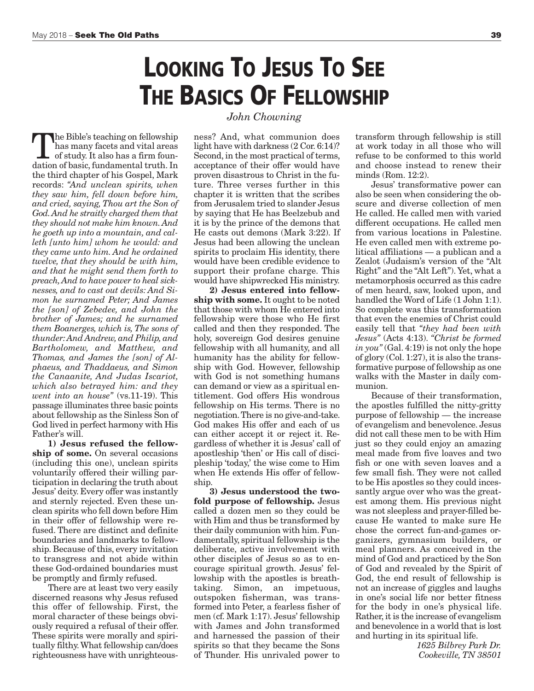## **LOOKING TO JESUS TO SEE THE BASICS OF FELLOWSHIP**

*John Chowning*

The Bible's teaching on fellowship<br>has many facets and vital areas<br>of study. It also has a firm foun-<br>dation of hasic fundamental truth. In has many facets and vital areas of study. It also has a firm foundation of basic, fundamental truth. In the third chapter of his Gospel, Mark records: *"And unclean spirits, when they saw him, fell down before him, and cried, saying, Thou art the Son of God.And he straitly charged them that they should not make him known.And he goeth up into a mountain, and calleth [unto him] whom he would: and they came unto him. And he ordained twelve, that they should be with him, and that he might send them forth to preach,And to have power to heal sicknesses, and to cast out devils: And Simon he surnamed Peter; And James the [son] of Zebedee, and John the brother of James; and he surnamed them Boanerges, which is, The sons of thunder:And Andrew, and Philip, and Bartholomew, and Matthew, and Thomas, and James the [son] of Alphaeus, and Thaddaeus, and Simon the Canaanite, And Judas Iscariot, which also betrayed him: and they went into an house"* (vs.11-19). This passage illuminates three basic points about fellowship as the Sinless Son of God lived in perfect harmony with His Father's will.

**1) Jesus refused the fellowship of some.** On several occasions (including this one), unclean spirits voluntarily offered their willing participation in declaring the truth about Jesus' deity. Every offer was instantly and sternly rejected. Even these unclean spirits who fell down before Him in their offer of fellowship were refused. There are distinct and definite boundaries and landmarks to fellowship. Because of this, every invitation to transgress and not abide within these God-ordained boundaries must be promptly and firmly refused.

There are at least two very easily discerned reasons why Jesus refused this offer of fellowship. First, the moral character of these beings obviously required a refusal of their offer. These spirits were morally and spiritually filthy.What fellowship can/does righteousness have with unrighteousness? And, what communion does light have with darkness (2 Cor. 6:14)? Second, in the most practical of terms, acceptance of their offer would have proven disastrous to Christ in the future. Three verses further in this chapter it is written that the scribes from Jerusalem tried to slander Jesus by saying that He has Beelzebub and it is by the prince of the demons that He casts out demons (Mark 3:22). If Jesus had been allowing the unclean spirits to proclaim His identity, there would have been credible evidence to support their profane charge. This would have shipwrecked His ministry.

**2) Jesus entered into fellowship with some.** It ought to be noted that those with whom He entered into fellowship were those who He first called and then they responded. The holy, sovereign God desires genuine fellowship with all humanity, and all humanity has the ability for fellowship with God. However, fellowship with God is not something humans can demand or view as a spiritual entitlement. God offers His wondrous fellowship on His terms. There is no negotiation.There is no give-and-take. God makes His offer and each of us can either accept it or reject it. Regardless of whether it is Jesus' call of apostleship 'then' or His call of discipleship 'today,' the wise come to Him when He extends His offer of fellowship.

**3) Jesus understood the twofold purpose of fellowship.** Jesus called a dozen men so they could be with Him and thus be transformed by their daily communion with him.Fundamentally, spiritual fellowship is the deliberate, active involvement with other disciples of Jesus so as to encourage spiritual growth. Jesus' fellowship with the apostles is breathtaking. Simon, an impetuous, outspoken fisherman, was transformed into Peter, a fearless fisher of men (cf. Mark 1:17). Jesus' fellowship with James and John transformed and harnessed the passion of their spirits so that they became the Sons of Thunder. His unrivaled power to

transform through fellowship is still at work today in all those who will refuse to be conformed to this world and choose instead to renew their minds (Rom. 12:2).

Jesus' transformative power can also be seen when considering the obscure and diverse collection of men He called. He called men with varied different occupations. He called men from various locations in Palestine. He even called men with extreme political affiliations — a publican and a Zealot (Judaism's version of the "Alt Right" and the "Alt Left"). Yet, what a metamorphosis occurred as this cadre of men heard, saw, looked upon, and handled the Word of Life (1 John 1:1). So complete was this transformation that even the enemies of Christ could easily tell that *"they had been with Jesus"* (Acts 4:13). *"Christ be formed in you"* (Gal. 4:19) is not only the hope of glory (Col. 1:27), it is also the transformative purpose of fellowship as one walks with the Master in daily communion.

Because of their transformation, the apostles fulfilled the nitty-gritty purpose of fellowship — the increase of evangelism and benevolence. Jesus did not call these men to be with Him just so they could enjoy an amazing meal made from five loaves and two fish or one with seven loaves and a few small fish. They were not called to be His apostles so they could incessantly argue over who was the greatest among them. His previous night was not sleepless and prayer-filled because He wanted to make sure He chose the correct fun-and-games organizers, gymnasium builders, or meal planners. As conceived in the mind of God and practiced by the Son of God and revealed by the Spirit of God, the end result of fellowship is not an increase of giggles and laughs in one's social life nor better fitness for the body in one's physical life. Rather, it is the increase of evangelism and benevolence in a world that is lost and hurting in its spiritual life.

> *1625 Bilbrey Park Dr. Cookeville, TN 38501*